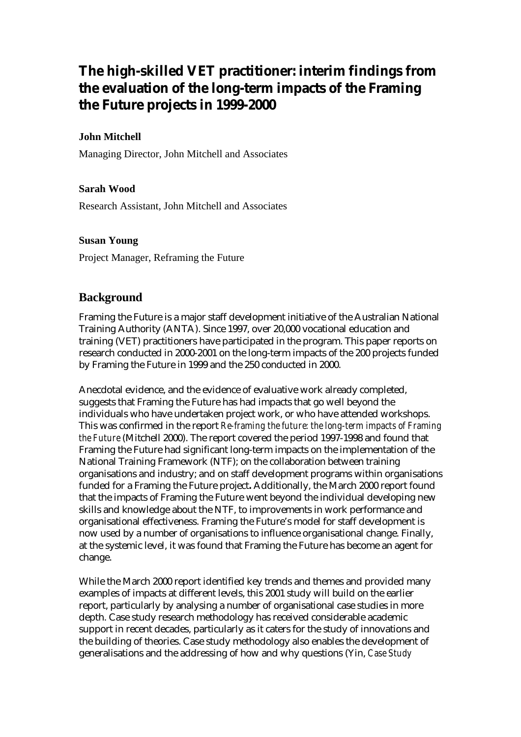# **The high-skilled VET practitioner: interim findings from the evaluation of the long-term impacts of the Framing the Future projects in 1999-2000**

#### **John Mitchell**

Managing Director, John Mitchell and Associates

#### **Sarah Wood**

Research Assistant, John Mitchell and Associates

#### **Susan Young**

Project Manager, Reframing the Future

## **Background**

Framing the Future is a major staff development initiative of the Australian National Training Authority (ANTA). Since 1997, over 20,000 vocational education and training (VET) practitioners have participated in the program. This paper reports on research conducted in 2000-2001 on the long-term impacts of the 200 projects funded by Framing the Future in 1999 and the 250 conducted in 2000.

Anecdotal evidence, and the evidence of evaluative work already completed, suggests that Framing the Future has had impacts that go well beyond the individuals who have undertaken project work, or who have attended workshops. This was confirmed in the report *Re-framing the future: the long-term impacts of Framing the Future* (Mitchell 2000). The report covered the period 1997-1998 and found that Framing the Future had significant long-term impacts on the implementation of the National Training Framework (NTF); on the collaboration between training organisations and industry; and on staff development programs within organisations funded for a Framing the Future project**.** Additionally, the March 2000 report found that the impacts of Framing the Future went beyond the individual developing new skills and knowledge about the NTF, to improvements in work performance and organisational effectiveness. Framing the Future's model for staff development is now used by a number of organisations to influence organisational change. Finally, at the systemic level, it was found that Framing the Future has become an agent for change.

While the March 2000 report identified key trends and themes and provided many examples of impacts at different levels, this 2001 study will build on the earlier report, particularly by analysing a number of organisational case studies in more depth. Case study research methodology has received considerable academic support in recent decades, particularly as it caters for the study of innovations and the building of theories. Case study methodology also enables the development of generalisations and the addressing of how and why questions (Yin, *Case Study*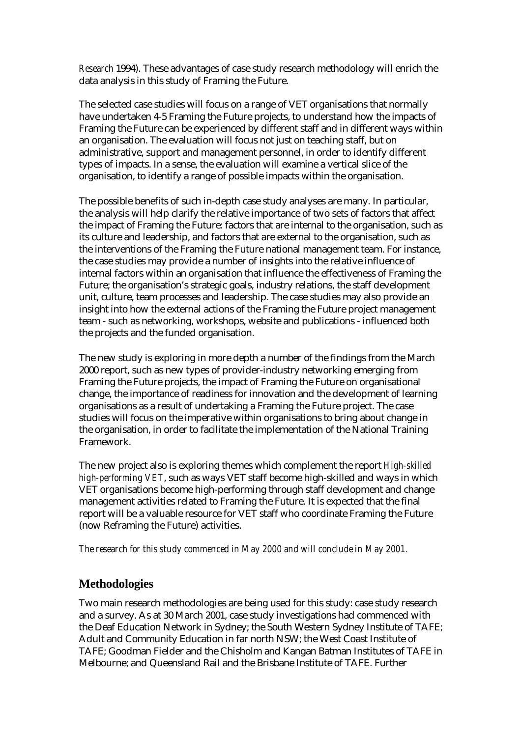*Research* 1994). These advantages of case study research methodology will enrich the data analysis in this study of Framing the Future.

The selected case studies will focus on a range of VET organisations that normally have undertaken 4-5 Framing the Future projects, to understand how the impacts of Framing the Future can be experienced by different staff and in different ways within an organisation. The evaluation will focus not just on teaching staff, but on administrative, support and management personnel, in order to identify different types of impacts. In a sense, the evaluation will examine a vertical slice of the organisation, to identify a range of possible impacts within the organisation.

The possible benefits of such in-depth case study analyses are many. In particular, the analysis will help clarify the relative importance of two sets of factors that affect the impact of Framing the Future: factors that are internal to the organisation, such as its culture and leadership, and factors that are external to the organisation, such as the interventions of the Framing the Future national management team. For instance, the case studies may provide a number of insights into the relative influence of internal factors within an organisation that influence the effectiveness of Framing the Future; the organisation's strategic goals, industry relations, the staff development unit, culture, team processes and leadership. The case studies may also provide an insight into how the external actions of the Framing the Future project management team - such as networking, workshops, website and publications - influenced both the projects and the funded organisation.

The new study is exploring in more depth a number of the findings from the March 2000 report, such as new types of provider-industry networking emerging from Framing the Future projects, the impact of Framing the Future on organisational change, the importance of readiness for innovation and the development of learning organisations as a result of undertaking a Framing the Future project. The case studies will focus on the imperative within organisations to bring about change in the organisation, in order to facilitate the implementation of the National Training Framework.

The new project also is exploring themes which complement the report *High-skilled high-performing VET*, such as ways VET staff become high-skilled and ways in which VET organisations become high-performing through staff development and change management activities related to Framing the Future. It is expected that the final report will be a valuable resource for VET staff who coordinate Framing the Future (now Reframing the Future) activities.

#### *The research for this study commenced in May 2000 and will conclude in May 2001.*

# **Methodologies**

Two main research methodologies are being used for this study: case study research and a survey. As at 30 March 2001, case study investigations had commenced with the Deaf Education Network in Sydney; the South Western Sydney Institute of TAFE; Adult and Community Education in far north NSW; the West Coast Institute of TAFE; Goodman Fielder and the Chisholm and Kangan Batman Institutes of TAFE in Melbourne; and Queensland Rail and the Brisbane Institute of TAFE. Further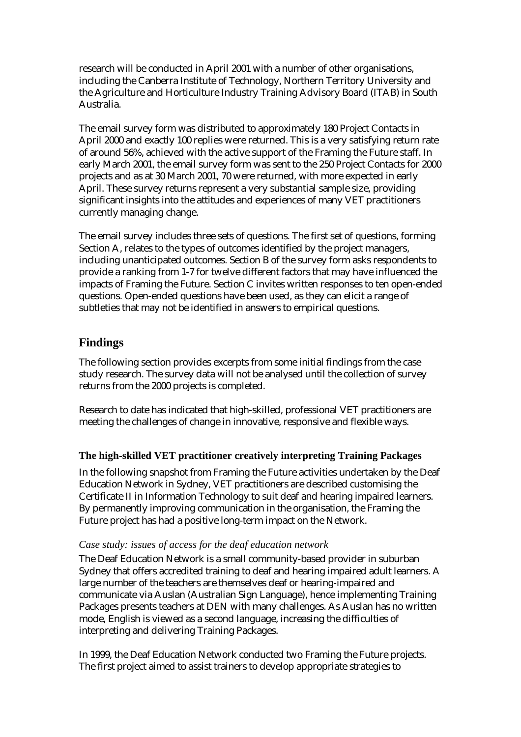research will be conducted in April 2001 with a number of other organisations, including the Canberra Institute of Technology, Northern Territory University and the Agriculture and Horticulture Industry Training Advisory Board (ITAB) in South Australia.

The email survey form was distributed to approximately 180 Project Contacts in April 2000 and exactly 100 replies were returned. This is a very satisfying return rate of around 56%, achieved with the active support of the Framing the Future staff. In early March 2001, the email survey form was sent to the 250 Project Contacts for 2000 projects and as at 30 March 2001, 70 were returned, with more expected in early April. These survey returns represent a very substantial sample size, providing significant insights into the attitudes and experiences of many VET practitioners currently managing change.

The email survey includes three sets of questions. The first set of questions, forming Section A, relates to the types of outcomes identified by the project managers, including unanticipated outcomes. Section B of the survey form asks respondents to provide a ranking from 1-7 for twelve different factors that may have influenced the impacts of Framing the Future. Section C invites written responses to ten open-ended questions. Open-ended questions have been used, as they can elicit a range of subtleties that may not be identified in answers to empirical questions.

# **Findings**

The following section provides excerpts from some initial findings from the case study research. The survey data will not be analysed until the collection of survey returns from the 2000 projects is completed.

Research to date has indicated that high-skilled, professional VET practitioners are meeting the challenges of change in innovative, responsive and flexible ways.

## **The high-skilled VET practitioner creatively interpreting Training Packages**

In the following snapshot from Framing the Future activities undertaken by the Deaf Education Network in Sydney, VET practitioners are described customising the Certificate II in Information Technology to suit deaf and hearing impaired learners. By permanently improving communication in the organisation, the Framing the Future project has had a positive long-term impact on the Network.

## *Case study: issues of access for the deaf education network*

The Deaf Education Network is a small community-based provider in suburban Sydney that offers accredited training to deaf and hearing impaired adult learners. A large number of the teachers are themselves deaf or hearing-impaired and communicate via Auslan (Australian Sign Language), hence implementing Training Packages presents teachers at DEN with many challenges. As Auslan has no written mode, English is viewed as a second language, increasing the difficulties of interpreting and delivering Training Packages.

In 1999, the Deaf Education Network conducted two Framing the Future projects. The first project aimed to assist trainers to develop appropriate strategies to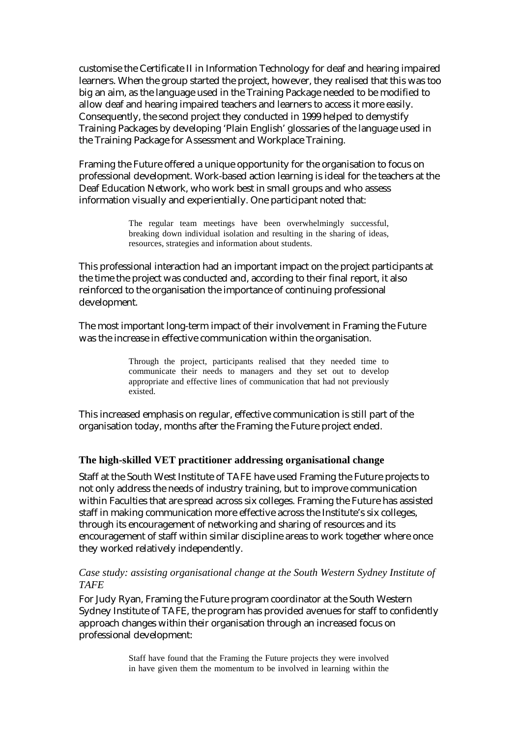customise the Certificate II in Information Technology for deaf and hearing impaired learners. When the group started the project, however, they realised that this was too big an aim, as the language used in the Training Package needed to be modified to allow deaf and hearing impaired teachers and learners to access it more easily. Consequently, the second project they conducted in 1999 helped to demystify Training Packages by developing 'Plain English' glossaries of the language used in the Training Package for Assessment and Workplace Training.

Framing the Future offered a unique opportunity for the organisation to focus on professional development. Work-based action learning is ideal for the teachers at the Deaf Education Network, who work best in small groups and who assess information visually and experientially. One participant noted that:

> The regular team meetings have been overwhelmingly successful, breaking down individual isolation and resulting in the sharing of ideas, resources, strategies and information about students.

This professional interaction had an important impact on the project participants at the time the project was conducted and, according to their final report, it also reinforced to the organisation the importance of continuing professional development.

The most important long-term impact of their involvement in Framing the Future was the increase in effective communication within the organisation.

> Through the project, participants realised that they needed time to communicate their needs to managers and they set out to develop appropriate and effective lines of communication that had not previously existed.

This increased emphasis on regular, effective communication is still part of the organisation today, months after the Framing the Future project ended.

#### **The high-skilled VET practitioner addressing organisational change**

Staff at the South West Institute of TAFE have used Framing the Future projects to not only address the needs of industry training, but to improve communication within Faculties that are spread across six colleges. Framing the Future has assisted staff in making communication more effective across the Institute's six colleges, through its encouragement of networking and sharing of resources and its encouragement of staff within similar discipline areas to work together where once they worked relatively independently.

#### *Case study: assisting organisational change at the South Western Sydney Institute of TAFE*

For Judy Ryan, Framing the Future program coordinator at the South Western Sydney Institute of TAFE, the program has provided avenues for staff to confidently approach changes within their organisation through an increased focus on professional development:

> Staff have found that the Framing the Future projects they were involved in have given them the momentum to be involved in learning within the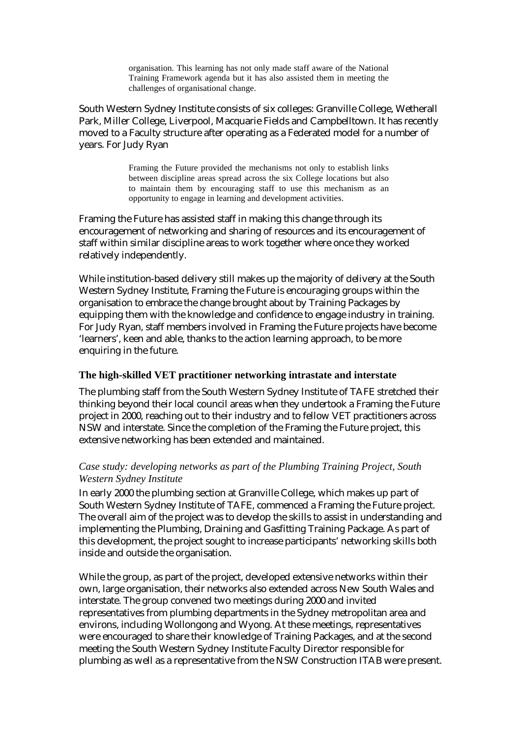organisation. This learning has not only made staff aware of the National Training Framework agenda but it has also assisted them in meeting the challenges of organisational change.

South Western Sydney Institute consists of six colleges: Granville College, Wetherall Park, Miller College, Liverpool, Macquarie Fields and Campbelltown. It has recently moved to a Faculty structure after operating as a Federated model for a number of years. For Judy Ryan

> Framing the Future provided the mechanisms not only to establish links between discipline areas spread across the six College locations but also to maintain them by encouraging staff to use this mechanism as an opportunity to engage in learning and development activities.

Framing the Future has assisted staff in making this change through its encouragement of networking and sharing of resources and its encouragement of staff within similar discipline areas to work together where once they worked relatively independently.

While institution-based delivery still makes up the majority of delivery at the South Western Sydney Institute, Framing the Future is encouraging groups within the organisation to embrace the change brought about by Training Packages by equipping them with the knowledge and confidence to engage industry in training. For Judy Ryan, staff members involved in Framing the Future projects have become 'learners', keen and able, thanks to the action learning approach, to be more enquiring in the future.

#### **The high-skilled VET practitioner networking intrastate and interstate**

The plumbing staff from the South Western Sydney Institute of TAFE stretched their thinking beyond their local council areas when they undertook a Framing the Future project in 2000, reaching out to their industry and to fellow VET practitioners across NSW and interstate. Since the completion of the Framing the Future project, this extensive networking has been extended and maintained.

#### *Case study: developing networks as part of the Plumbing Training Project, South Western Sydney Institute*

In early 2000 the plumbing section at Granville College, which makes up part of South Western Sydney Institute of TAFE, commenced a Framing the Future project. The overall aim of the project was to develop the skills to assist in understanding and implementing the Plumbing, Draining and Gasfitting Training Package. As part of this development, the project sought to increase participants' networking skills both inside and outside the organisation.

While the group, as part of the project, developed extensive networks within their own, large organisation, their networks also extended across New South Wales and interstate. The group convened two meetings during 2000 and invited representatives from plumbing departments in the Sydney metropolitan area and environs, including Wollongong and Wyong. At these meetings, representatives were encouraged to share their knowledge of Training Packages, and at the second meeting the South Western Sydney Institute Faculty Director responsible for plumbing as well as a representative from the NSW Construction ITAB were present.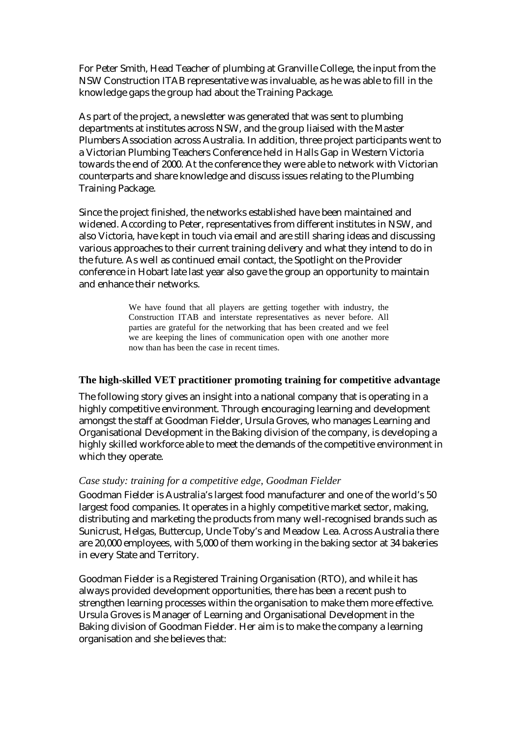For Peter Smith, Head Teacher of plumbing at Granville College, the input from the NSW Construction ITAB representative was invaluable, as he was able to fill in the knowledge gaps the group had about the Training Package.

As part of the project, a newsletter was generated that was sent to plumbing departments at institutes across NSW, and the group liaised with the Master Plumbers Association across Australia. In addition, three project participants went to a Victorian Plumbing Teachers Conference held in Halls Gap in Western Victoria towards the end of 2000. At the conference they were able to network with Victorian counterparts and share knowledge and discuss issues relating to the Plumbing Training Package.

Since the project finished, the networks established have been maintained and widened. According to Peter, representatives from different institutes in NSW, and also Victoria, have kept in touch via email and are still sharing ideas and discussing various approaches to their current training delivery and what they intend to do in the future. As well as continued email contact, the Spotlight on the Provider conference in Hobart late last year also gave the group an opportunity to maintain and enhance their networks.

> We have found that all players are getting together with industry, the Construction ITAB and interstate representatives as never before. All parties are grateful for the networking that has been created and we feel we are keeping the lines of communication open with one another more now than has been the case in recent times.

#### **The high-skilled VET practitioner promoting training for competitive advantage**

The following story gives an insight into a national company that is operating in a highly competitive environment. Through encouraging learning and development amongst the staff at Goodman Fielder, Ursula Groves, who manages Learning and Organisational Development in the Baking division of the company, is developing a highly skilled workforce able to meet the demands of the competitive environment in which they operate.

#### *Case study: training for a competitive edge, Goodman Fielder*

Goodman Fielder is Australia's largest food manufacturer and one of the world's 50 largest food companies. It operates in a highly competitive market sector, making, distributing and marketing the products from many well-recognised brands such as Sunicrust, Helgas, Buttercup, Uncle Toby's and Meadow Lea. Across Australia there are 20,000 employees, with 5,000 of them working in the baking sector at 34 bakeries in every State and Territory.

Goodman Fielder is a Registered Training Organisation (RTO), and while it has always provided development opportunities, there has been a recent push to strengthen learning processes within the organisation to make them more effective. Ursula Groves is Manager of Learning and Organisational Development in the Baking division of Goodman Fielder. Her aim is to make the company a learning organisation and she believes that: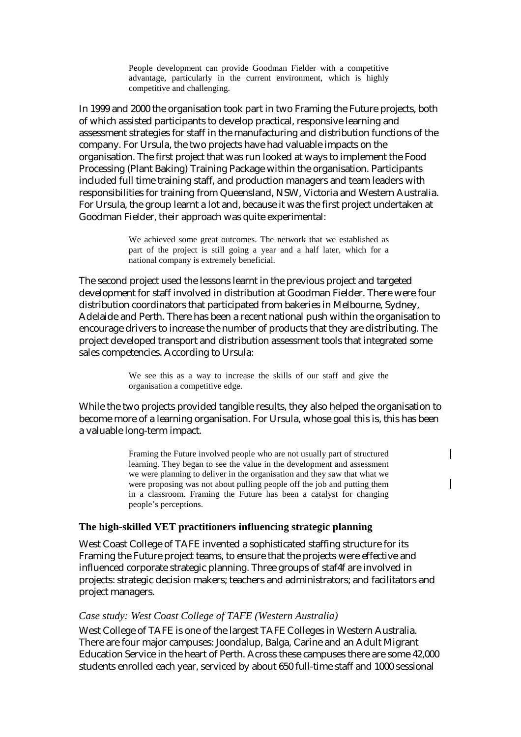People development can provide Goodman Fielder with a competitive advantage, particularly in the current environment, which is highly competitive and challenging.

In 1999 and 2000 the organisation took part in two Framing the Future projects, both of which assisted participants to develop practical, responsive learning and assessment strategies for staff in the manufacturing and distribution functions of the company. For Ursula, the two projects have had valuable impacts on the organisation. The first project that was run looked at ways to implement the Food Processing (Plant Baking) Training Package within the organisation. Participants included full time training staff, and production managers and team leaders with responsibilities for training from Queensland, NSW, Victoria and Western Australia. For Ursula, the group learnt a lot and, because it was the first project undertaken at Goodman Fielder, their approach was quite experimental:

> We achieved some great outcomes. The network that we established as part of the project is still going a year and a half later, which for a national company is extremely beneficial.

The second project used the lessons learnt in the previous project and targeted development for staff involved in distribution at Goodman Fielder. There were four distribution coordinators that participated from bakeries in Melbourne, Sydney, Adelaide and Perth. There has been a recent national push within the organisation to encourage drivers to increase the number of products that they are distributing. The project developed transport and distribution assessment tools that integrated some sales competencies. According to Ursula:

> We see this as a way to increase the skills of our staff and give the organisation a competitive edge.

While the two projects provided tangible results, they also helped the organisation to become more of a learning organisation. For Ursula, whose goal this is, this has been a valuable long-term impact.

> Framing the Future involved people who are not usually part of structured learning. They began to see the value in the development and assessment we were planning to deliver in the organisation and they saw that what we were proposing was not about pulling people off the job and putting them in a classroom. Framing the Future has been a catalyst for changing people's perceptions.

 $\overline{\phantom{a}}$ 

#### **The high-skilled VET practitioners influencing strategic planning**

West Coast College of TAFE invented a sophisticated staffing structure for its Framing the Future project teams, to ensure that the projects were effective and influenced corporate strategic planning. Three groups of staf4f are involved in projects: strategic decision makers; teachers and administrators; and facilitators and project managers.

#### *Case study: West Coast College of TAFE (Western Australia)*

West College of TAFE is one of the largest TAFE Colleges in Western Australia. There are four major campuses: Joondalup, Balga, Carine and an Adult Migrant Education Service in the heart of Perth. Across these campuses there are some 42,000 students enrolled each year, serviced by about 650 full-time staff and 1000 sessional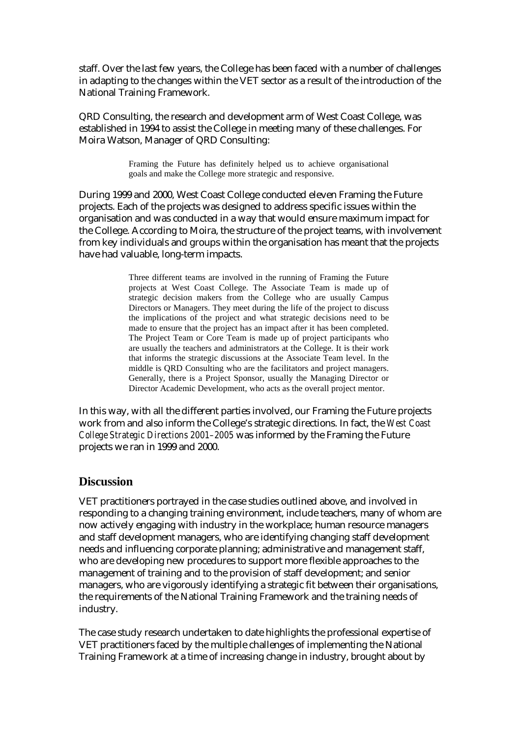staff. Over the last few years, the College has been faced with a number of challenges in adapting to the changes within the VET sector as a result of the introduction of the National Training Framework.

QRD Consulting, the research and development arm of West Coast College, was established in 1994 to assist the College in meeting many of these challenges. For Moira Watson, Manager of QRD Consulting:

> Framing the Future has definitely helped us to achieve organisational goals and make the College more strategic and responsive.

During 1999 and 2000, West Coast College conducted eleven Framing the Future projects. Each of the projects was designed to address specific issues within the organisation and was conducted in a way that would ensure maximum impact for the College. According to Moira, the structure of the project teams, with involvement from key individuals and groups within the organisation has meant that the projects have had valuable, long-term impacts.

> Three different teams are involved in the running of Framing the Future projects at West Coast College. The Associate Team is made up of strategic decision makers from the College who are usually Campus Directors or Managers. They meet during the life of the project to discuss the implications of the project and what strategic decisions need to be made to ensure that the project has an impact after it has been completed. The Project Team or Core Team is made up of project participants who are usually the teachers and administrators at the College. It is their work that informs the strategic discussions at the Associate Team level. In the middle is QRD Consulting who are the facilitators and project managers. Generally, there is a Project Sponsor, usually the Managing Director or Director Academic Development, who acts as the overall project mentor.

In this way, with all the different parties involved, our Framing the Future projects work from and also inform the College's strategic directions. In fact, the *West Coast College Strategic Directions 2001–2005* was informed by the Framing the Future projects we ran in 1999 and 2000.

## **Discussion**

VET practitioners portrayed in the case studies outlined above, and involved in responding to a changing training environment, include teachers, many of whom are now actively engaging with industry in the workplace; human resource managers and staff development managers, who are identifying changing staff development needs and influencing corporate planning; administrative and management staff, who are developing new procedures to support more flexible approaches to the management of training and to the provision of staff development; and senior managers, who are vigorously identifying a strategic fit between their organisations, the requirements of the National Training Framework and the training needs of industry.

The case study research undertaken to date highlights the professional expertise of VET practitioners faced by the multiple challenges of implementing the National Training Framework at a time of increasing change in industry, brought about by